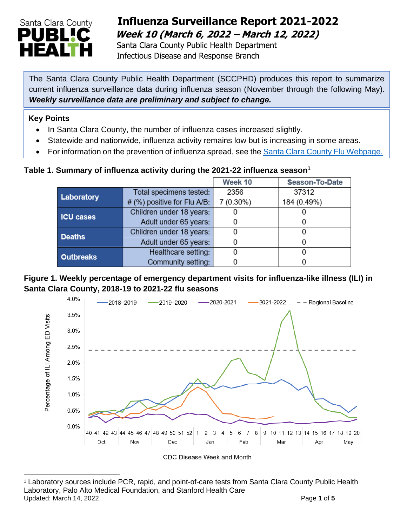

# **Influenza Surveillance Report 2021-2022 Week 10 (March 6, 2022 – March 12, 2022)**

 Santa Clara County Public Health Department Infectious Disease and Response Branch

The Santa Clara County Public Health Department (SCCPHD) produces this report to summarize current influenza surveillance data during influenza season (November through the following May). *Weekly surveillance data are preliminary and subject to change.*

#### **Key Points**

- In Santa Clara County, the number of influenza cases increased slightly.
- Statewide and nationwide, influenza activity remains low but is increasing in some areas.
- For information on the prevention of influenza spread, see the [Santa Clara County Flu Webpage.](https://publichealth.sccgov.org/disease-information/influenza-flu)

#### **Table 1. Summary of influenza activity during the 2021-22 influenza season<sup>1</sup>**

|                  |                               | Week 10   | Season-To-Date |
|------------------|-------------------------------|-----------|----------------|
| Laboratory       | Total specimens tested:       | 2356      | 37312          |
|                  | $#$ (%) positive for Flu A/B: | 7 (0.30%) | 184 (0.49%)    |
| <b>ICU cases</b> | Children under 18 years:      |           |                |
|                  | Adult under 65 years:         |           |                |
| <b>Deaths</b>    | Children under 18 years:      |           |                |
|                  | Adult under 65 years:         |           |                |
| <b>Outbreaks</b> | Healthcare setting:           |           |                |
|                  | Community setting:            |           |                |

#### **Figure 1. Weekly percentage of emergency department visits for influenza-like illness (ILI) in Santa Clara County, 2018-19 to 2021-22 flu seasons**



<sup>1</sup> Laboratory sources include PCR, rapid, and point-of-care tests from Santa Clara County Public Health Laboratory, Palo Alto Medical Foundation, and Stanford Health Care Updated: March 14, 2022 **Page 1** of 5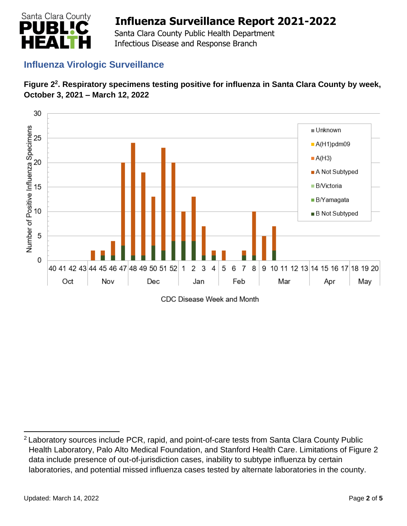

 Santa Clara County Public Health Department Infectious Disease and Response Branch

## **Influenza Virologic Surveillance**





CDC Disease Week and Month

<sup>&</sup>lt;sup>2</sup> Laboratory sources include PCR, rapid, and point-of-care tests from Santa Clara County Public Health Laboratory, Palo Alto Medical Foundation, and Stanford Health Care. Limitations of Figure 2 data include presence of out-of-jurisdiction cases, inability to subtype influenza by certain laboratories, and potential missed influenza cases tested by alternate laboratories in the county.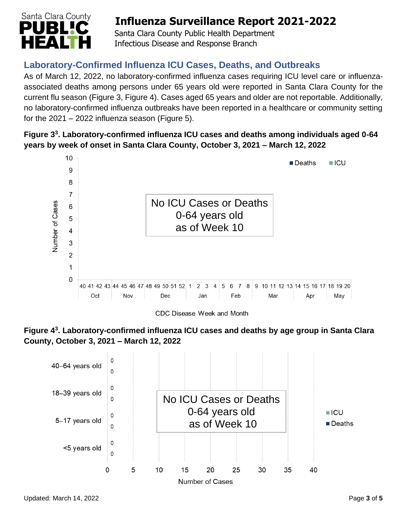

 Santa Clara County Public Health Department Infectious Disease and Response Branch

## **Laboratory-Confirmed Influenza ICU Cases, Deaths, and Outbreaks**

As of March 12, 2022, no laboratory-confirmed influenza cases requiring ICU level care or influenzaassociated deaths among persons under 65 years old were reported in Santa Clara County for the current flu season (Figure 3, Figure 4). Cases aged 65 years and older are not reportable. Additionally, no laboratory-confirmed influenza outbreaks have been reported in a healthcare or community setting for the  $2021 - 2022$  influenza season (Figure 5).

### **Figure 3 3 . Laboratory-confirmed influenza ICU cases and deaths among individuals aged 0-64 years by week of onset in Santa Clara County, October 3, 2021 – March 12, 2022**



CDC Disease Week and Month



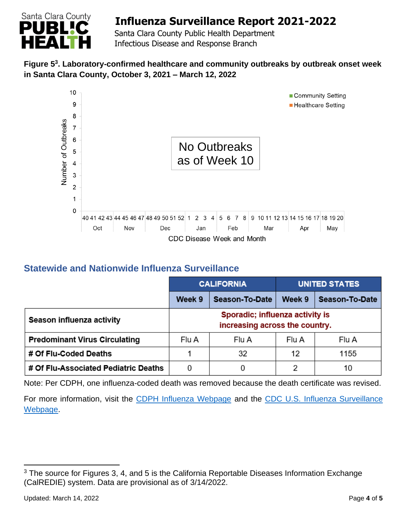

 Santa Clara County Public Health Department Infectious Disease and Response Branch

### **Figure 5 3 . Laboratory-confirmed healthcare and community outbreaks by outbreak onset week in Santa Clara County, October 3, 2021 – March 12, 2022**



## **Statewide and Nationwide Influenza Surveillance**

|                                      | <b>CALIFORNIA</b>                                                 |                | <b>UNITED STATES</b> |                |
|--------------------------------------|-------------------------------------------------------------------|----------------|----------------------|----------------|
|                                      | Week 9                                                            | Season-To-Date | Week 9               | Season-To-Date |
| Season influenza activity            | Sporadic; influenza activity is<br>increasing across the country. |                |                      |                |
| <b>Predominant Virus Circulating</b> | Flu A                                                             | Flu A          | Flu A                | Flu A          |
| # Of Flu-Coded Deaths                |                                                                   | 32             | 12                   | 1155           |
| # Of Flu-Associated Pediatric Deaths | 0                                                                 |                | 2                    | 10             |

Note: Per CDPH, one influenza-coded death was removed because the death certificate was revised.

For more information, visit the [CDPH Influenza Webpage](http://www.cdph.ca.gov/Programs/CID/DCDC/Pages/Immunization/Influenza.aspx) and the CDC U.S. Influenza Surveillance [Webpage.](http://www.cdc.gov/flu/weekly/)

<sup>&</sup>lt;sup>3</sup> The source for Figures 3, 4, and 5 is the California Reportable Diseases Information Exchange (CalREDIE) system. Data are provisional as of 3/14/2022.